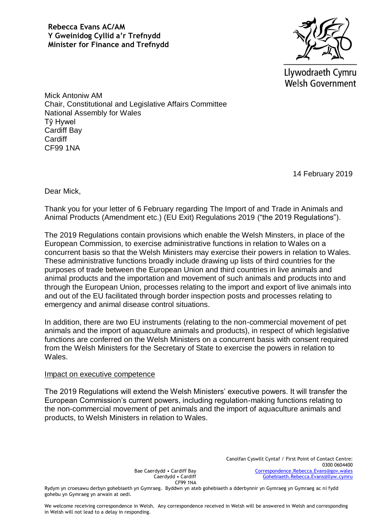

Llywodraeth Cymru **Welsh Government** 

Mick Antoniw AM Chair, Constitutional and Legislative Affairs Committee National Assembly for Wales Tŷ Hywel Cardiff Bay **Cardiff** CF99 1NA

14 February 2019

Dear Mick,

Thank you for your letter of 6 February regarding The Import of and Trade in Animals and Animal Products (Amendment etc.) (EU Exit) Regulations 2019 ("the 2019 Regulations").

The 2019 Regulations contain provisions which enable the Welsh Minsters, in place of the European Commission, to exercise administrative functions in relation to Wales on a concurrent basis so that the Welsh Ministers may exercise their powers in relation to Wales. These administrative functions broadly include drawing up lists of third countries for the purposes of trade between the European Union and third countries in live animals and animal products and the importation and movement of such animals and products into and through the European Union, processes relating to the import and export of live animals into and out of the EU facilitated through border inspection posts and processes relating to emergency and animal disease control situations.

In addition, there are two EU instruments (relating to the non-commercial movement of pet animals and the import of aquaculture animals and products), in respect of which legislative functions are conferred on the Welsh Ministers on a concurrent basis with consent required from the Welsh Ministers for the Secretary of State to exercise the powers in relation to Wales.

## Impact on executive competence

The 2019 Regulations will extend the Welsh Ministers' executive powers. It will transfer the European Commission's current powers, including regulation-making functions relating to the non-commercial movement of pet animals and the import of aquaculture animals and products, to Welsh Ministers in relation to Wales.

Bae Caerdydd • Cardiff Bay Caerdydd • Cardiff CF99 1NA

Rydym yn croesawu derbyn gohebiaeth yn Gymraeg. Byddwn yn ateb gohebiaeth a dderbynnir yn Gymraeg yn Gymraeg ac ni fydd gohebu yn Gymraeg yn arwain at oedi.

We welcome receiving correspondence in Welsh. Any correspondence received in Welsh will be answered in Welsh and corresponding in Welsh will not lead to a delay in responding.